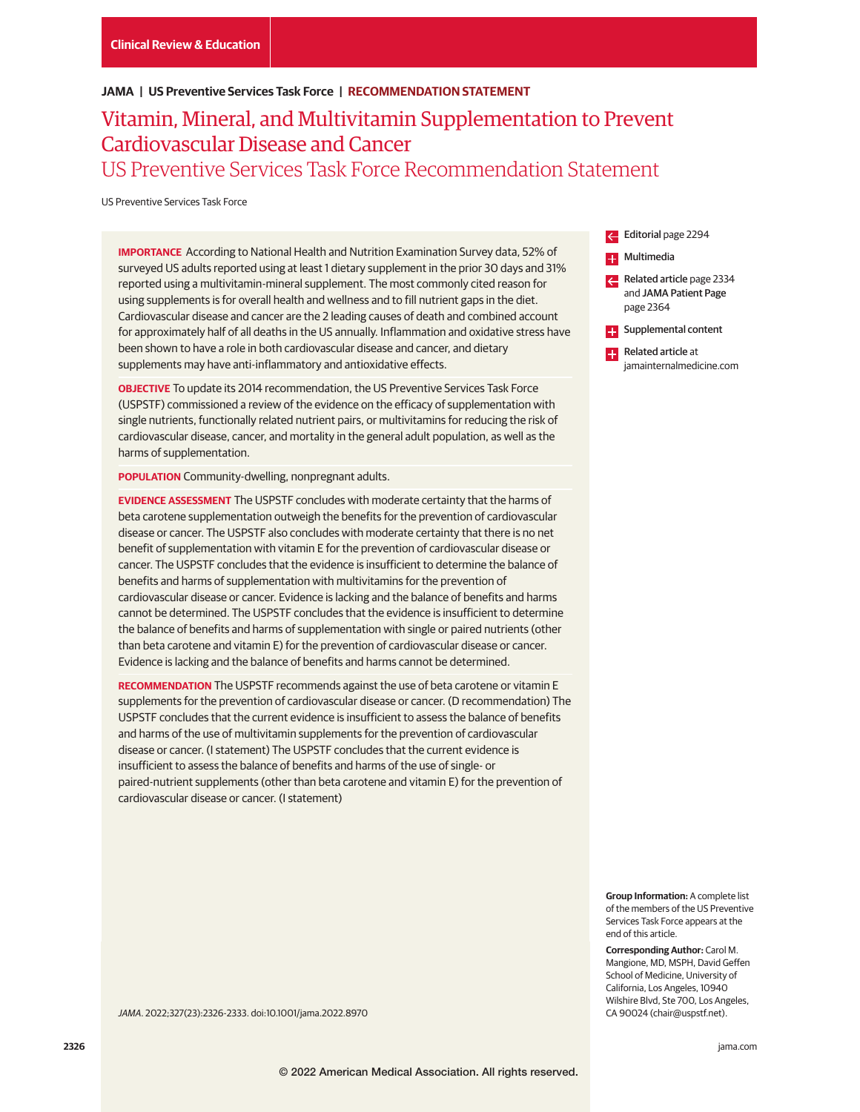# **JAMA | US Preventive Services Task Force | RECOMMENDATION STATEMENT**

# Vitamin, Mineral, and Multivitamin Supplementation to Prevent Cardiovascular Disease and Cancer US Preventive Services Task Force Recommendation Statement

US Preventive Services Task Force

**IMPORTANCE** According to National Health and Nutrition Examination Survey data, 52% of surveyed US adults reported using at least 1 dietary supplement in the prior 30 days and 31% reported using a multivitamin-mineral supplement. The most commonly cited reason for using supplements is for overall health and wellness and to fill nutrient gaps in the diet. Cardiovascular disease and cancer are the 2 leading causes of death and combined account for approximately half of all deaths in the US annually. Inflammation and oxidative stress have been shown to have a role in both cardiovascular disease and cancer, and dietary supplements may have anti-inflammatory and antioxidative effects.

**OBJECTIVE** To update its 2014 recommendation, the US Preventive Services Task Force (USPSTF) commissioned a review of the evidence on the efficacy of supplementation with single nutrients, functionally related nutrient pairs, or multivitamins for reducing the risk of cardiovascular disease, cancer, and mortality in the general adult population, as well as the harms of supplementation.

**POPULATION** Community-dwelling, nonpregnant adults.

**EVIDENCE ASSESSMENT** The USPSTF concludes with moderate certainty that the harms of beta carotene supplementation outweigh the benefits for the prevention of cardiovascular disease or cancer. The USPSTF also concludes with moderate certainty that there is no net benefit of supplementation with vitamin E for the prevention of cardiovascular disease or cancer. The USPSTF concludes that the evidence is insufficient to determine the balance of benefits and harms of supplementation with multivitamins for the prevention of cardiovascular disease or cancer. Evidence is lacking and the balance of benefits and harms cannot be determined. The USPSTF concludes that the evidence is insufficient to determine the balance of benefits and harms of supplementation with single or paired nutrients (other than beta carotene and vitamin E) for the prevention of cardiovascular disease or cancer. Evidence is lacking and the balance of benefits and harms cannot be determined.

**RECOMMENDATION** The USPSTF recommends against the use of beta carotene or vitamin E supplements for the prevention of cardiovascular disease or cancer. (D recommendation) The USPSTF concludes that the current evidence is insufficient to assess the balance of benefits and harms of the use of multivitamin supplements for the prevention of cardiovascular disease or cancer. (I statement) The USPSTF concludes that the current evidence is insufficient to assess the balance of benefits and harms of the use of single- or paired-nutrient supplements (other than beta carotene and vitamin E) for the prevention of cardiovascular disease or cancer. (I statement)



jamainternalmedicine.com

**Group Information:** A complete list of the members of the US Preventive Services Task Force appears at the end of this article.

**Corresponding Author:** Carol M. Mangione, MD, MSPH, David Geffen School of Medicine, University of California, Los Angeles, 10940 Wilshire Blvd, Ste 700, Los Angeles, CA 90024 (chair@uspstf.net).

JAMA. 2022;327(23):2326-2333. doi:10.1001/jama.2022.8970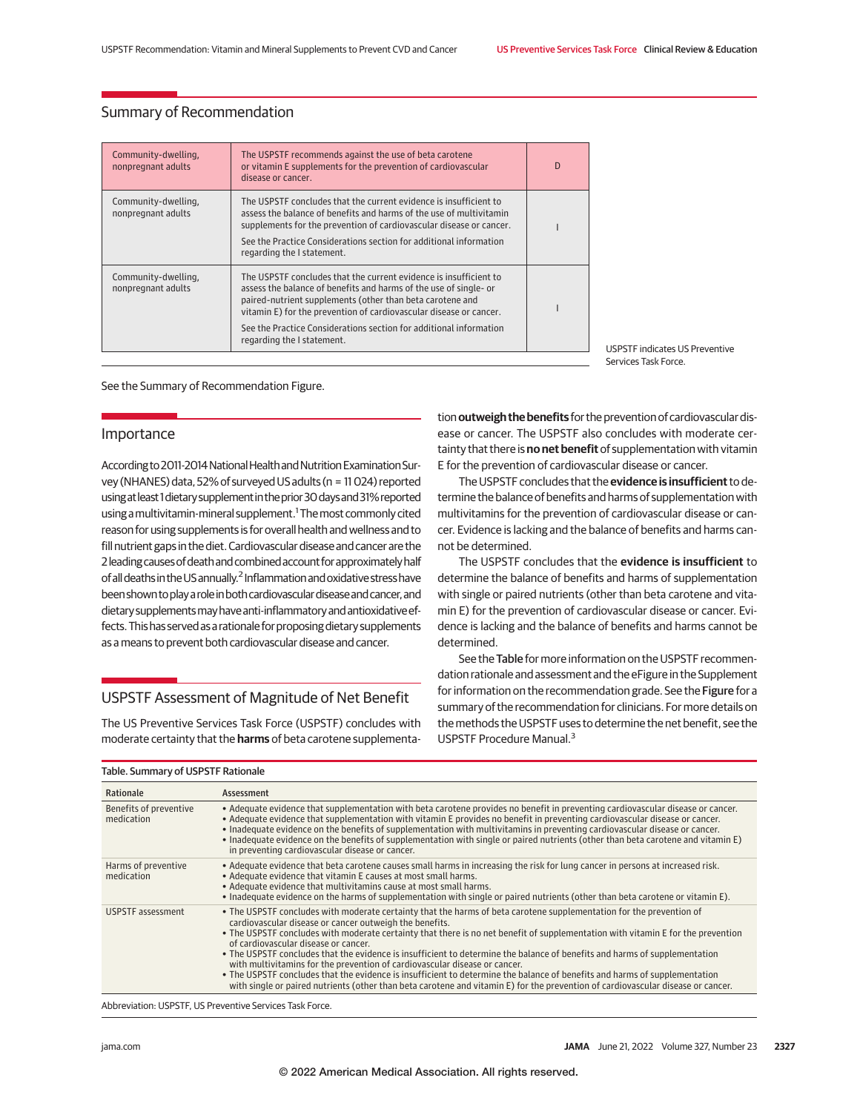# Summary of Recommendation

| Community-dwelling,<br>nonpregnant adults | The USPSTF recommends against the use of beta carotene<br>or vitamin E supplements for the prevention of cardiovascular<br>disease or cancer.                                                                                                                                                                                                                                 | $\Gamma$ |
|-------------------------------------------|-------------------------------------------------------------------------------------------------------------------------------------------------------------------------------------------------------------------------------------------------------------------------------------------------------------------------------------------------------------------------------|----------|
| Community-dwelling,<br>nonpregnant adults | The USPSTF concludes that the current evidence is insufficient to<br>assess the balance of benefits and harms of the use of multivitamin<br>supplements for the prevention of cardiovascular disease or cancer.<br>See the Practice Considerations section for additional information<br>regarding the I statement.                                                           |          |
| Community-dwelling,<br>nonpregnant adults | The USPSTF concludes that the current evidence is insufficient to<br>assess the balance of benefits and harms of the use of single- or<br>paired-nutrient supplements (other than beta carotene and<br>vitamin E) for the prevention of cardiovascular disease or cancer.<br>See the Practice Considerations section for additional information<br>regarding the I statement. |          |

USPSTF indicates US Preventive Services Task Force.

See the Summary of Recommendation Figure.

## Importance

According to 2011-2014 National Health and Nutrition Examination Survey (NHANES) data, 52% of surveyedUS adults (n = 11 024) reported usingatleast 1dietarysupplementin theprior30daysand31% reported using a multivitamin-mineral supplement.<sup>1</sup> The most commonly cited reason for using supplements is for overall health and wellness and to fill nutrient gaps in the diet. Cardiovascular disease and cancer are the 2leadingcausesofdeathandcombinedaccount forapproximatelyhalf of all deaths in the US annually.<sup>2</sup> Inflammation and oxidative stress have been shown to play a role in both cardiovascular disease and cancer, and dietarysupplementsmayhaveanti-inflammatoryandantioxidativeeffects. This has served as a rationale for proposing dietary supplements as a means to prevent both cardiovascular disease and cancer.

# USPSTF Assessment of Magnitude of Net Benefit

The US Preventive Services Task Force (USPSTF) concludes with moderate certainty that the **harms** of beta carotene supplementation**outweigh the benefits** for the prevention of cardiovascular disease or cancer. The USPSTF also concludes with moderate certainty that there is **no net benefit** of supplementation with vitamin E for the prevention of cardiovascular disease or cancer.

The USPSTF concludes that the **evidence is insufficient**to determine the balance of benefits and harms of supplementation with multivitamins for the prevention of cardiovascular disease or cancer. Evidence is lacking and the balance of benefits and harms cannot be determined.

The USPSTF concludes that the **evidence is insufficient** to determine the balance of benefits and harms of supplementation with single or paired nutrients (other than beta carotene and vitamin E) for the prevention of cardiovascular disease or cancer. Evidence is lacking and the balance of benefits and harms cannot be determined.

See the Table for more information on the USPSTF recommendation rationale and assessment and the eFigure in the Supplement for information on the recommendation grade. See the Figure for a summary of the recommendation for clinicians. For more details on the methods the USPSTF uses to determine the net benefit, see the USPSTF Procedure Manual.<sup>3</sup>

#### Table. Summary of USPSTF Rationale

| Rationale                            | Assessment                                                                                                                                                                                                                                                                                                                                                                                                                                                                                                                                                                                                                                                                                                                                                                                                                                |
|--------------------------------------|-------------------------------------------------------------------------------------------------------------------------------------------------------------------------------------------------------------------------------------------------------------------------------------------------------------------------------------------------------------------------------------------------------------------------------------------------------------------------------------------------------------------------------------------------------------------------------------------------------------------------------------------------------------------------------------------------------------------------------------------------------------------------------------------------------------------------------------------|
| Benefits of preventive<br>medication | • Adequate evidence that supplementation with beta carotene provides no benefit in preventing cardiovascular disease or cancer.<br>• Adequate evidence that supplementation with vitamin E provides no benefit in preventing cardiovascular disease or cancer.<br>• Inadequate evidence on the benefits of supplementation with multivitamins in preventing cardiovascular disease or cancer.<br>• Inadequate evidence on the benefits of supplementation with single or paired nutrients (other than beta carotene and vitamin E)<br>in preventing cardiovascular disease or cancer.                                                                                                                                                                                                                                                     |
| Harms of preventive<br>medication    | • Adequate evidence that beta carotene causes small harms in increasing the risk for lung cancer in persons at increased risk.<br>• Adequate evidence that vitamin E causes at most small harms.<br>• Adequate evidence that multivitamins cause at most small harms.<br>• Inadequate evidence on the harms of supplementation with single or paired nutrients (other than beta carotene or vitamin E).                                                                                                                                                                                                                                                                                                                                                                                                                                   |
| USPSTF assessment                    | • The USPSTF concludes with moderate certainty that the harms of beta carotene supplementation for the prevention of<br>cardiovascular disease or cancer outweigh the benefits.<br>• The USPSTF concludes with moderate certainty that there is no net benefit of supplementation with vitamin E for the prevention<br>of cardiovascular disease or cancer.<br>• The USPSTF concludes that the evidence is insufficient to determine the balance of benefits and harms of supplementation<br>with multivitamins for the prevention of cardiovascular disease or cancer.<br>. The USPSTF concludes that the evidence is insufficient to determine the balance of benefits and harms of supplementation<br>with single or paired nutrients (other than beta carotene and vitamin E) for the prevention of cardiovascular disease or cancer. |

Abbreviation: USPSTF, US Preventive Services Task Force.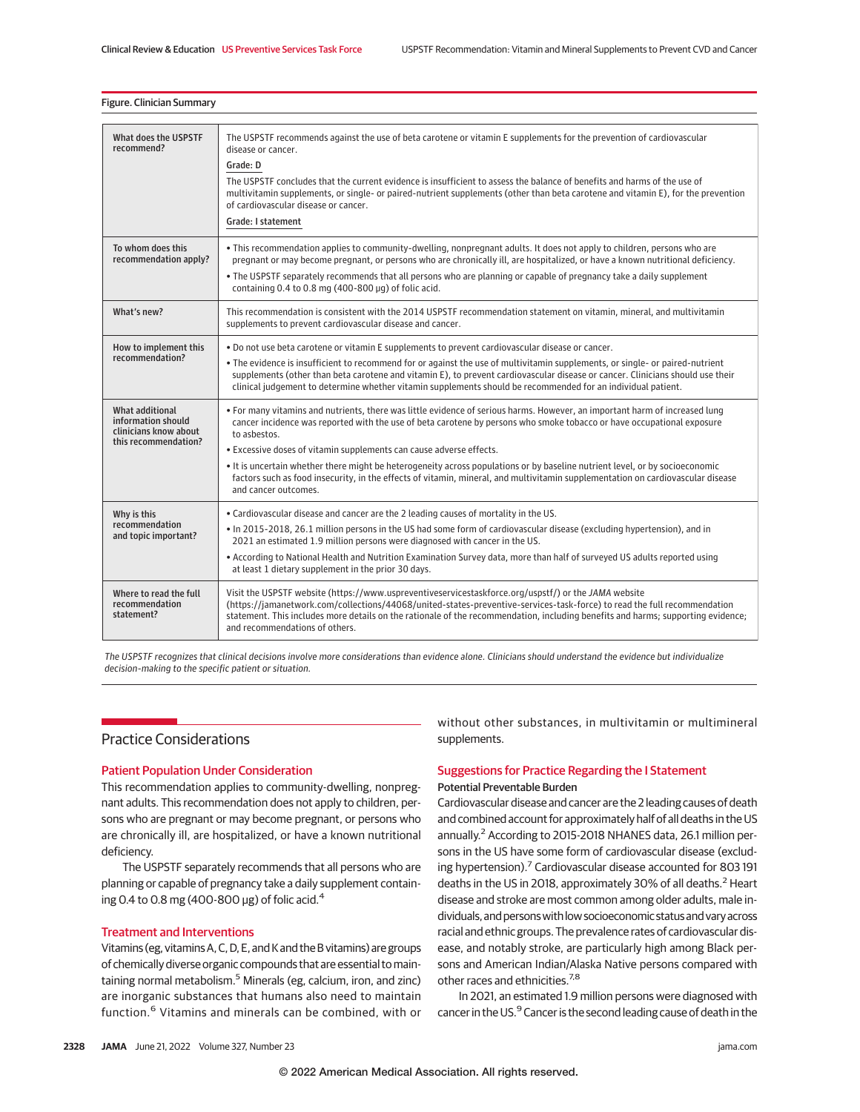Figure. Clinician Summary

| What does the USPSTF<br>recommend?                                                     | The USPSTF recommends against the use of beta carotene or vitamin E supplements for the prevention of cardiovascular<br>disease or cancer.<br>Grade: D<br>The USPSTF concludes that the current evidence is insufficient to assess the balance of benefits and harms of the use of<br>multivitamin supplements, or single- or paired-nutrient supplements (other than beta carotene and vitamin E), for the prevention<br>of cardiovascular disease or cancer.<br>Grade: I statement                                                                                                                                                    |
|----------------------------------------------------------------------------------------|-----------------------------------------------------------------------------------------------------------------------------------------------------------------------------------------------------------------------------------------------------------------------------------------------------------------------------------------------------------------------------------------------------------------------------------------------------------------------------------------------------------------------------------------------------------------------------------------------------------------------------------------|
| To whom does this<br>recommendation apply?                                             | • This recommendation applies to community-dwelling, nonpregnant adults. It does not apply to children, persons who are<br>pregnant or may become pregnant, or persons who are chronically ill, are hospitalized, or have a known nutritional deficiency.<br>. The USPSTF separately recommends that all persons who are planning or capable of pregnancy take a daily supplement<br>containing 0.4 to 0.8 mg (400-800 µg) of folic acid.                                                                                                                                                                                               |
| What's new?                                                                            | This recommendation is consistent with the 2014 USPSTF recommendation statement on vitamin, mineral, and multivitamin<br>supplements to prevent cardiovascular disease and cancer.                                                                                                                                                                                                                                                                                                                                                                                                                                                      |
| How to implement this<br>recommendation?                                               | . Do not use beta carotene or vitamin E supplements to prevent cardiovascular disease or cancer.<br>• The evidence is insufficient to recommend for or against the use of multivitamin supplements, or single- or paired-nutrient<br>supplements (other than beta carotene and vitamin E), to prevent cardiovascular disease or cancer. Clinicians should use their<br>clinical judgement to determine whether vitamin supplements should be recommended for an individual patient.                                                                                                                                                     |
| What additional<br>information should<br>clinicians know about<br>this recommendation? | . For many vitamins and nutrients, there was little evidence of serious harms. However, an important harm of increased lung<br>cancer incidence was reported with the use of beta carotene by persons who smoke tobacco or have occupational exposure<br>to asbestos.<br>. Excessive doses of vitamin supplements can cause adverse effects.<br>• It is uncertain whether there might be heterogeneity across populations or by baseline nutrient level, or by socioeconomic<br>factors such as food insecurity, in the effects of vitamin, mineral, and multivitamin supplementation on cardiovascular disease<br>and cancer outcomes. |
| Why is this<br>recommendation<br>and topic important?                                  | . Cardiovascular disease and cancer are the 2 leading causes of mortality in the US.<br>. In 2015-2018, 26.1 million persons in the US had some form of cardiovascular disease (excluding hypertension), and in<br>2021 an estimated 1.9 million persons were diagnosed with cancer in the US.<br>. According to National Health and Nutrition Examination Survey data, more than half of surveyed US adults reported using<br>at least 1 dietary supplement in the prior 30 days.                                                                                                                                                      |
| Where to read the full<br>recommendation<br>statement?                                 | Visit the USPSTF website (https://www.uspreventiveservicestaskforce.org/uspstf/) or the JAMA website<br>(https://jamanetwork.com/collections/44068/united-states-preventive-services-task-force) to read the full recommendation<br>statement. This includes more details on the rationale of the recommendation, including benefits and harms; supporting evidence;<br>and recommendations of others.                                                                                                                                                                                                                                  |

*The USPSTF recognizes that clinical decisions involve more considerations than evidence alone. Clinicians should understand the evidence but individualize decision-making to the specific patient or situation.*

#### Practice Considerations

# Patient Population Under Consideration

This recommendation applies to community-dwelling, nonpregnant adults. This recommendation does not apply to children, persons who are pregnant or may become pregnant, or persons who are chronically ill, are hospitalized, or have a known nutritional deficiency.

The USPSTF separately recommends that all persons who are planning or capable of pregnancy take a daily supplement containing 0.4 to 0.8 mg (400-800 μg) of folic acid.<sup>4</sup>

# Treatment and Interventions

Vitamins (eg, vitamins A, C, D, E, and K and the B vitamins) are groups of chemically diverse organic compounds that are essential tomaintaining normal metabolism.<sup>5</sup> Minerals (eg, calcium, iron, and zinc) are inorganic substances that humans also need to maintain function.<sup>6</sup> Vitamins and minerals can be combined, with or

without other substances, in multivitamin or multimineral supplements.

# Suggestions for Practice Regarding the I Statement Potential Preventable Burden

Cardiovascular disease and cancer are the 2 leading causes of death and combined account for approximately half of all deaths in the US annually.<sup>2</sup> According to 2015-2018 NHANES data, 26.1 million persons in the US have some form of cardiovascular disease (excluding hypertension).<sup>7</sup> Cardiovascular disease accounted for 803191 deaths in the US in 2018, approximately 30% of all deaths.<sup>2</sup> Heart disease and stroke are most common among older adults, male individuals, and persons with low socioeconomic status and vary across racial and ethnic groups. The prevalence rates of cardiovascular disease, and notably stroke, are particularly high among Black persons and American Indian/Alaska Native persons compared with other races and ethnicities.<sup>7,8</sup>

In 2021, an estimated 1.9 million persons were diagnosed with cancer in the US.<sup>9</sup> Cancer is the second leading cause of death in the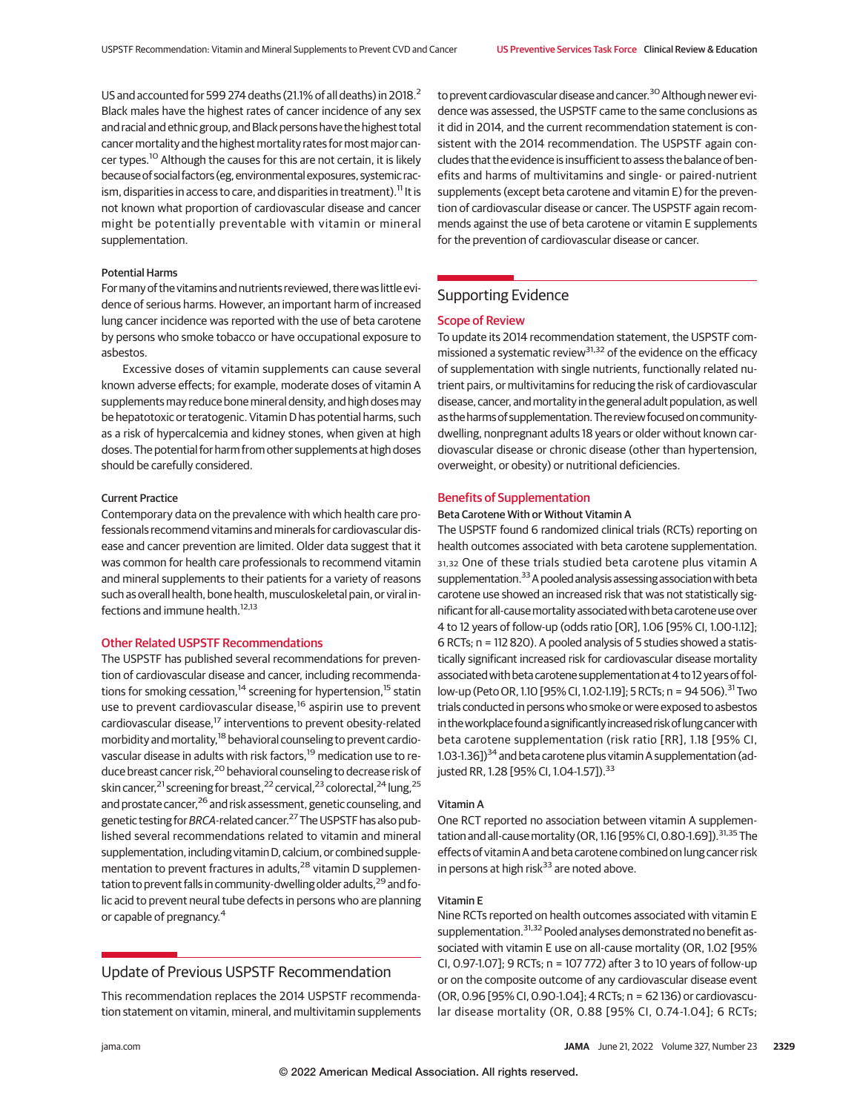US and accounted for 599 274 deaths (21.1% of all deaths) in 2018.<sup>2</sup> Black males have the highest rates of cancer incidence of any sex and racial and ethnic group, and Black persons have the highest total cancer mortality and the highest mortality rates for most major cancer types.<sup>10</sup> Although the causes for this are not certain, it is likely because of social factors (eg, environmental exposures, systemic racism, disparities in access to care, and disparities in treatment).<sup>11</sup> It is not known what proportion of cardiovascular disease and cancer might be potentially preventable with vitamin or mineral supplementation.

#### Potential Harms

Formany of the vitamins and nutrients reviewed, there was little evidence of serious harms. However, an important harm of increased lung cancer incidence was reported with the use of beta carotene by persons who smoke tobacco or have occupational exposure to asbestos.

Excessive doses of vitamin supplements can cause several known adverse effects; for example, moderate doses of vitamin A supplements may reduce bone mineral density, and high doses may be hepatotoxic or teratogenic. Vitamin D has potential harms, such as a risk of hypercalcemia and kidney stones, when given at high doses. The potential for harm from other supplements at high doses should be carefully considered.

#### Current Practice

Contemporary data on the prevalence with which health care professionals recommend vitamins and minerals for cardiovascular disease and cancer prevention are limited. Older data suggest that it was common for health care professionals to recommend vitamin and mineral supplements to their patients for a variety of reasons such as overall health, bone health, musculoskeletal pain, or viral infections and immune health.<sup>12,13</sup>

# Other Related USPSTF Recommendations

The USPSTF has published several recommendations for prevention of cardiovascular disease and cancer, including recommendations for smoking cessation,<sup>14</sup> screening for hypertension,<sup>15</sup> statin use to prevent cardiovascular disease,<sup>16</sup> aspirin use to prevent cardiovascular disease,<sup>17</sup> interventions to prevent obesity-related morbidity and mortality,<sup>18</sup> behavioral counseling to prevent cardiovascular disease in adults with risk factors,<sup>19</sup> medication use to reduce breast cancer risk,<sup>20</sup> behavioral counseling to decrease risk of skin cancer,<sup>21</sup> screening for breast,<sup>22</sup> cervical,<sup>23</sup> colorectal,<sup>24</sup> lung,<sup>25</sup> and prostate cancer,<sup>26</sup> and risk assessment, genetic counseling, and genetic testing for BRCA-related cancer.<sup>27</sup> The USPSTF has also published several recommendations related to vitamin and mineral supplementation, including vitamin D, calcium, or combined supplementation to prevent fractures in adults,<sup>28</sup> vitamin D supplementation to prevent falls in community-dwelling older adults,<sup>29</sup> and folic acid to prevent neural tube defects in persons who are planning or capable of pregnancy.<sup>4</sup>

# Update of Previous USPSTF Recommendation

This recommendation replaces the 2014 USPSTF recommendation statement on vitamin, mineral, and multivitamin supplements to prevent cardiovascular disease and cancer.<sup>30</sup> Although newer evidence was assessed, the USPSTF came to the same conclusions as it did in 2014, and the current recommendation statement is consistent with the 2014 recommendation. The USPSTF again concludes that the evidence is insufficient to assess the balance of benefits and harms of multivitamins and single- or paired-nutrient supplements (except beta carotene and vitamin E) for the prevention of cardiovascular disease or cancer. The USPSTF again recommends against the use of beta carotene or vitamin E supplements for the prevention of cardiovascular disease or cancer.

# Supporting Evidence

# Scope of Review

To update its 2014 recommendation statement, the USPSTF commissioned a systematic review<sup>31,32</sup> of the evidence on the efficacy of supplementation with single nutrients, functionally related nutrient pairs, or multivitamins for reducing the risk of cardiovascular disease, cancer, and mortality in the general adult population, as well as the harms of supplementation. The review focused on communitydwelling, nonpregnant adults 18 years or older without known cardiovascular disease or chronic disease (other than hypertension, overweight, or obesity) or nutritional deficiencies.

## Benefits of Supplementation

# Beta Carotene With or Without Vitamin A

The USPSTF found 6 randomized clinical trials (RCTs) reporting on health outcomes associated with beta carotene supplementation. 31,32 One of these trials studied beta carotene plus vitamin A supplementation. $33A$  pooled analysis assessing association with beta carotene use showed an increased risk that was not statistically significant for all-cause mortality associated with beta carotene use over 4 to 12 years of follow-up (odds ratio [OR], 1.06 [95% CI, 1.00-1.12]; 6 RCTs; n = 112 820). A pooled analysis of 5 studies showed a statistically significant increased risk for cardiovascular disease mortality associated with beta carotene supplementation at 4 to 12 years of follow-up (Peto OR, 1.10 [95% CI, 1.02-1.19]; 5 RCTs; n = 94 506).<sup>31</sup> Two trials conducted in persons who smoke or were exposed to asbestos in the workplace found a significantly increased risk of lung cancer with beta carotene supplementation (risk ratio [RR], 1.18 [95% CI,  $1.03$ -1.36])<sup>34</sup> and beta carotene plus vitamin A supplementation (adjusted RR, 1.28 [95% CI, 1.04-1.57]).<sup>33</sup>

#### Vitamin A

One RCT reported no association between vitamin A supplementation and all-cause mortality (OR, 1.16 [95% CI, 0.80-1.69]).<sup>31,35</sup> The effects of vitamin A and beta carotene combined on lung cancer risk in persons at high risk $33$  are noted above.

### Vitamin E

Nine RCTs reported on health outcomes associated with vitamin E supplementation.<sup>31,32</sup> Pooled analyses demonstrated no benefit associated with vitamin E use on all-cause mortality (OR, 1.02 [95% CI, 0.97-1.07]; 9 RCTs; n = 107 772) after 3 to 10 years of follow-up or on the composite outcome of any cardiovascular disease event (OR, 0.96 [95% CI, 0.90-1.04]; 4 RCTs; n = 62 136) or cardiovascular disease mortality (OR, 0.88 [95% CI, 0.74-1.04]; 6 RCTs;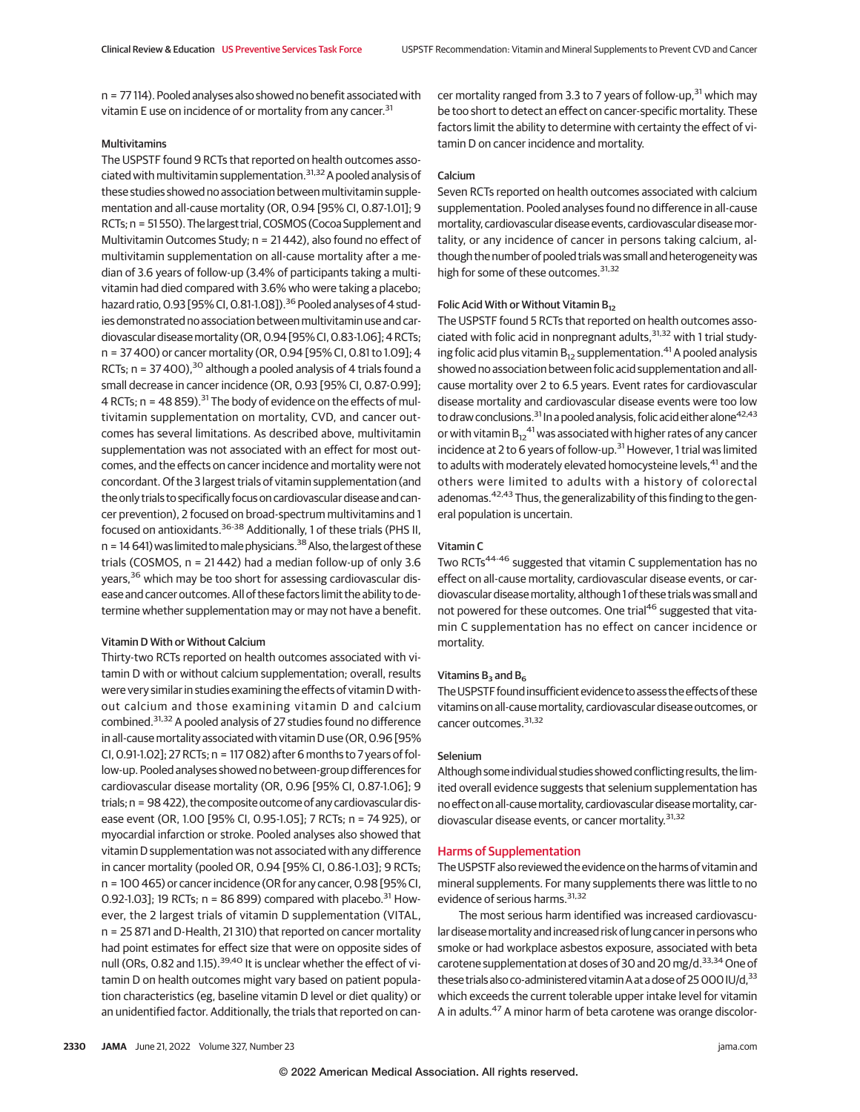n = 77 114). Pooled analyses also showed no benefit associated with vitamin E use on incidence of or mortality from any cancer.<sup>31</sup>

#### Multivitamins

The USPSTF found 9 RCTs that reported on health outcomes associated with multivitamin supplementation.<sup>31,32</sup> A pooled analysis of these studies showed no association between multivitamin supplementation and all-cause mortality (OR, 0.94 [95% CI, 0.87-1.01]; 9 RCTs; n = 51 550). The largest trial, COSMOS (Cocoa Supplement and Multivitamin Outcomes Study; n = 21 442), also found no effect of multivitamin supplementation on all-cause mortality after a median of 3.6 years of follow-up (3.4% of participants taking a multivitamin had died compared with 3.6% who were taking a placebo; hazard ratio, 0.93 [95% CI, 0.81-1.08]).<sup>36</sup> Pooled analyses of 4 studies demonstrated no association between multivitamin use and cardiovascular disease mortality (OR, 0.94 [95% CI, 0.83-1.06]; 4 RCTs; n = 37 400) or cancer mortality (OR, 0.94 [95% CI, 0.81 to 1.09]; 4 RCTs;  $n = 37 400$ ,  $30$  although a pooled analysis of 4 trials found a small decrease in cancer incidence (OR, 0.93 [95% CI, 0.87-0.99]; 4 RCTs;  $n = 48859$ ).<sup>31</sup> The body of evidence on the effects of multivitamin supplementation on mortality, CVD, and cancer outcomes has several limitations. As described above, multivitamin supplementation was not associated with an effect for most outcomes, and the effects on cancer incidence and mortality were not concordant. Of the 3 largest trials of vitamin supplementation (and the only trials to specifically focus on cardiovascular disease and cancer prevention), 2 focused on broad-spectrum multivitamins and 1 focused on antioxidants.36-38 Additionally, 1 of these trials (PHS II,  $n = 14641$ ) was limited to male physicians.<sup>38</sup> Also, the largest of these trials (COSMOS, n = 21 442) had a median follow-up of only 3.6 years,<sup>36</sup> which may be too short for assessing cardiovascular disease and cancer outcomes. All of these factors limit the ability to determine whether supplementation may or may not have a benefit.

# Vitamin D With or Without Calcium

Thirty-two RCTs reported on health outcomes associated with vitamin D with or without calcium supplementation; overall, results were very similar in studies examining the effects of vitamin D without calcium and those examining vitamin D and calcium combined.31,32 A pooled analysis of 27 studies found no difference in all-cause mortality associated with vitamin D use (OR, 0.96 [95% CI, 0.91-1.02]; 27 RCTs; n = 117 082) after 6 months to 7 years of follow-up. Pooled analyses showed no between-group differences for cardiovascular disease mortality (OR, 0.96 [95% CI, 0.87-1.06]; 9 trials; n = 98 422), the composite outcome of any cardiovascular disease event (OR, 1.00 [95% CI, 0.95-1.05]; 7 RCTs; n = 74 925), or myocardial infarction or stroke. Pooled analyses also showed that vitamin D supplementation was not associated with any difference in cancer mortality (pooled OR, 0.94 [95% CI, 0.86-1.03]; 9 RCTs; n = 100 465) or cancer incidence (OR for any cancer, 0.98 [95% CI, 0.92-1.03]; 19 RCTs;  $n = 86 899$ ) compared with placebo.<sup>31</sup> However, the 2 largest trials of vitamin D supplementation (VITAL, n = 25 871 and D-Health, 21 310) that reported on cancer mortality had point estimates for effect size that were on opposite sides of null (ORs, 0.82 and 1.15).<sup>39,40</sup> It is unclear whether the effect of vitamin D on health outcomes might vary based on patient population characteristics (eg, baseline vitamin D level or diet quality) or an unidentified factor. Additionally, the trials that reported on cancer mortality ranged from 3.3 to 7 years of follow-up,  $31$  which may be too short to detect an effect on cancer-specific mortality. These factors limit the ability to determine with certainty the effect of vitamin D on cancer incidence and mortality.

#### Calcium

Seven RCTs reported on health outcomes associated with calcium supplementation. Pooled analyses found no difference in all-cause mortality, cardiovascular disease events, cardiovascular disease mortality, or any incidence of cancer in persons taking calcium, although the number of pooled trials was small and heterogeneity was high for some of these outcomes. 31,32

# Folic Acid With or Without Vitamin  $B_{12}$

The USPSTF found 5 RCTs that reported on health outcomes associated with folic acid in nonpregnant adults,<sup>31,32</sup> with 1 trial studying folic acid plus vitamin  $B_{12}$  supplementation.<sup>41</sup> A pooled analysis showed no association between folic acid supplementation and allcause mortality over 2 to 6.5 years. Event rates for cardiovascular disease mortality and cardiovascular disease events were too low to draw conclusions.<sup>31</sup> In a pooled analysis, folic acid either alone<sup>42,43</sup> or with vitamin B $_{12}^{\phantom{12}41}$  was associated with higher rates of any cancer incidence at 2 to 6 years of follow-up.<sup>31</sup> However, 1 trial was limited to adults with moderately elevated homocysteine levels,<sup>41</sup> and the others were limited to adults with a history of colorectal adenomas.<sup>42,43</sup> Thus, the generalizability of this finding to the general population is uncertain.

# Vitamin C

Two RCTs<sup>44-46</sup> suggested that vitamin C supplementation has no effect on all-cause mortality, cardiovascular disease events, or cardiovascular diseasemortality, although 1 of these trials was small and not powered for these outcomes. One trial<sup>46</sup> suggested that vitamin C supplementation has no effect on cancer incidence or mortality.

### Vitamins  $B_3$  and  $B_6$

The USPSTF found insufficient evidence to assess the effects of these vitamins on all-causemortality, cardiovascular disease outcomes, or cancer outcomes.31,32

#### Selenium

Although some individual studies showed conflicting results, the limited overall evidence suggests that selenium supplementation has noeffect on all-causemortality, cardiovascular diseasemortality, cardiovascular disease events, or cancer mortality.<sup>31,32</sup>

## Harms of Supplementation

TheUSPSTF also reviewed the evidence on the harms of vitamin and mineral supplements. For many supplements there was little to no evidence of serious harms.<sup>31,32</sup>

The most serious harm identified was increased cardiovascular diseasemortality and increased risk of lung cancer in persons who smoke or had workplace asbestos exposure, associated with beta carotene supplementation at doses of 30 and 20 mg/d.<sup>33,34</sup> One of these trials also co-administered vitamin A at a dose of 25 000 IU/d,<sup>33</sup> which exceeds the current tolerable upper intake level for vitamin A in adults.<sup>47</sup> A minor harm of beta carotene was orange discolor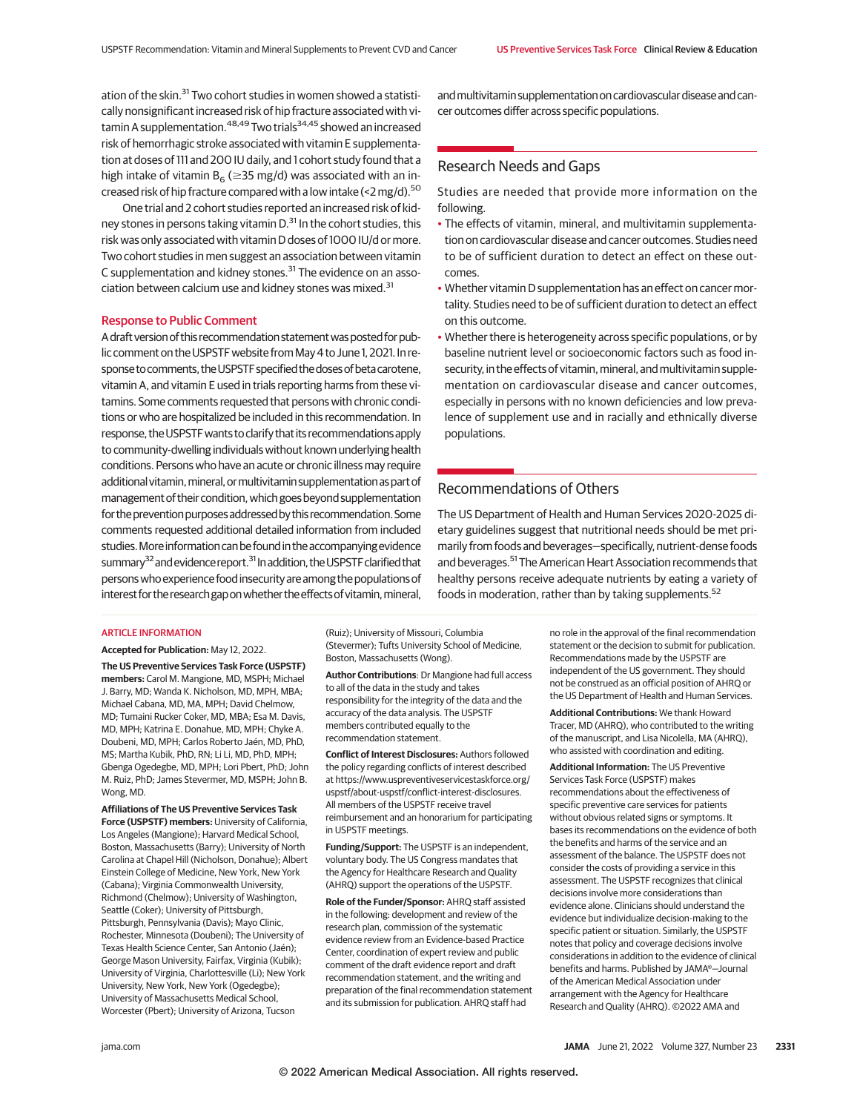ation of the skin.<sup>31</sup> Two cohort studies in women showed a statistically nonsignificant increased risk of hip fracture associated with vitamin A supplementation.<sup>48,49</sup> Two trials<sup>34,45</sup> showed an increased risk of hemorrhagic stroke associated with vitamin E supplementation at doses of 111 and 200 IU daily, and 1 cohort study found that a high intake of vitamin B<sub>6</sub> ( $\geq$ 35 mg/d) was associated with an increased risk of hip fracture compared with a low intake (<2 mg/d).50

One trial and 2 cohort studies reported an increased risk of kidney stones in persons taking vitamin D.<sup>31</sup> In the cohort studies, this risk was only associated with vitamin D doses of 1000 IU/d or more. Two cohort studies in men suggest an association between vitamin C supplementation and kidney stones.<sup>31</sup> The evidence on an association between calcium use and kidney stones was mixed.<sup>31</sup>

#### Response to Public Comment

A draft version of this recommendation statement was posted for public comment on the USPSTF website from May 4 to June 1, 2021. In response to comments, the USPSTF specified the doses of beta carotene, vitamin A, and vitamin E used in trials reporting harms from these vitamins. Some comments requested that persons with chronic conditions or who are hospitalized be included in this recommendation. In response, the USPSTF wants to clarify that its recommendations apply to community-dwelling individuals without known underlying health conditions. Persons who have an acute or chronic illness may require additional vitamin, mineral, or multivitamin supplementation as part of management of their condition, which goes beyond supplementation for the prevention purposes addressed by this recommendation. Some comments requested additional detailed information from included studies.Moreinformationcanbe foundin theaccompanyingevidence summary<sup>32</sup> and evidence report.<sup>31</sup> In addition, the USPSTF clarified that personswhoexperience food insecurityareamong the populations of interest for the research gap on whether the effects of vitamin, mineral,

and multivitamin supplementation on cardiovascular disease and cancer outcomes differ across specific populations.

# Research Needs and Gaps

Studies are needed that provide more information on the following.

- The effects of vitamin, mineral, and multivitamin supplementation on cardiovascular disease and cancer outcomes. Studies need to be of sufficient duration to detect an effect on these outcomes.
- Whether vitamin D supplementation has an effect on cancer mortality. Studies need to be of sufficient duration to detect an effect on this outcome.
- Whether there is heterogeneity across specific populations, or by baseline nutrient level or socioeconomic factors such as food insecurity, in the effects of vitamin, mineral, and multivitamin supplementation on cardiovascular disease and cancer outcomes, especially in persons with no known deficiencies and low prevalence of supplement use and in racially and ethnically diverse populations.

# Recommendations of Others

The US Department of Health and Human Services 2020-2025 dietary guidelines suggest that nutritional needs should be met primarily from foods and beverages—specifically, nutrient-dense foods and beverages.<sup>51</sup> The American Heart Association recommends that healthy persons receive adequate nutrients by eating a variety of foods in moderation, rather than by taking supplements.<sup>52</sup>

#### ARTICLE INFORMATION

**Accepted for Publication:** May 12, 2022.

**The US Preventive Services Task Force (USPSTF) members:** Carol M. Mangione, MD, MSPH; Michael J. Barry, MD; Wanda K. Nicholson, MD, MPH, MBA; Michael Cabana, MD, MA, MPH; David Chelmow, MD; Tumaini Rucker Coker, MD, MBA; Esa M. Davis, MD, MPH; Katrina E. Donahue, MD, MPH; Chyke A. Doubeni, MD, MPH; Carlos Roberto Jaén, MD, PhD, MS; Martha Kubik, PhD, RN; Li Li, MD, PhD, MPH; Gbenga Ogedegbe, MD, MPH; Lori Pbert, PhD; John M. Ruiz, PhD; James Stevermer, MD, MSPH; John B. Wong, MD.

**Affiliations of The US Preventive Services Task Force (USPSTF) members:** University of California, Los Angeles (Mangione); Harvard Medical School, Boston, Massachusetts (Barry); University of North Carolina at Chapel Hill (Nicholson, Donahue); Albert Einstein College of Medicine, New York, New York (Cabana); Virginia Commonwealth University, Richmond (Chelmow); University of Washington, Seattle (Coker); University of Pittsburgh, Pittsburgh, Pennsylvania (Davis); Mayo Clinic, Rochester, Minnesota (Doubeni); The University of Texas Health Science Center, San Antonio (Jaén); George Mason University, Fairfax, Virginia (Kubik); University of Virginia, Charlottesville (Li); New York University, New York, New York (Ogedegbe); University of Massachusetts Medical School, Worcester (Pbert); University of Arizona, Tucson

(Ruiz); University of Missouri, Columbia (Stevermer); Tufts University School of Medicine, Boston, Massachusetts (Wong).

**Author Contributions**: Dr Mangione had full access to all of the data in the study and takes responsibility for the integrity of the data and the accuracy of the data analysis. The USPSTF members contributed equally to the recommendation statement.

**Conflict of Interest Disclosures:** Authors followed the policy regarding conflicts of interest described at https://www.uspreventiveservicestaskforce.org/ uspstf/about-uspstf/conflict-interest-disclosures. All members of the USPSTF receive travel reimbursement and an honorarium for participating in USPSTF meetings.

**Funding/Support:** The USPSTF is an independent, voluntary body. The US Congress mandates that the Agency for Healthcare Research and Quality (AHRQ) support the operations of the USPSTF.

**Role of the Funder/Sponsor:** AHRQ staff assisted in the following: development and review of the research plan, commission of the systematic evidence review from an Evidence-based Practice Center, coordination of expert review and public comment of the draft evidence report and draft recommendation statement, and the writing and preparation of the final recommendation statement and its submission for publication. AHRQ staff had

no role in the approval of the final recommendation statement or the decision to submit for publication. Recommendations made by the USPSTF are independent of the US government. They should not be construed as an official position of AHRQ or the US Department of Health and Human Services.

**Additional Contributions:** We thank Howard Tracer, MD (AHRQ), who contributed to the writing of the manuscript, and Lisa Nicolella, MA (AHRQ), who assisted with coordination and editing.

**Additional Information:** The US Preventive Services Task Force (USPSTF) makes recommendations about the effectiveness of specific preventive care services for patients without obvious related signs or symptoms. It bases its recommendations on the evidence of both the benefits and harms of the service and an assessment of the balance. The USPSTF does not consider the costs of providing a service in this assessment. The USPSTF recognizes that clinical decisions involve more considerations than evidence alone. Clinicians should understand the evidence but individualize decision-making to the specific patient or situation. Similarly, the USPSTF notes that policy and coverage decisions involve considerations in addition to the evidence of clinical benefits and harms. Published by JAMA®—Journal of the American Medical Association under arrangement with the Agency for Healthcare Research and Quality (AHRQ). ©2022 AMA and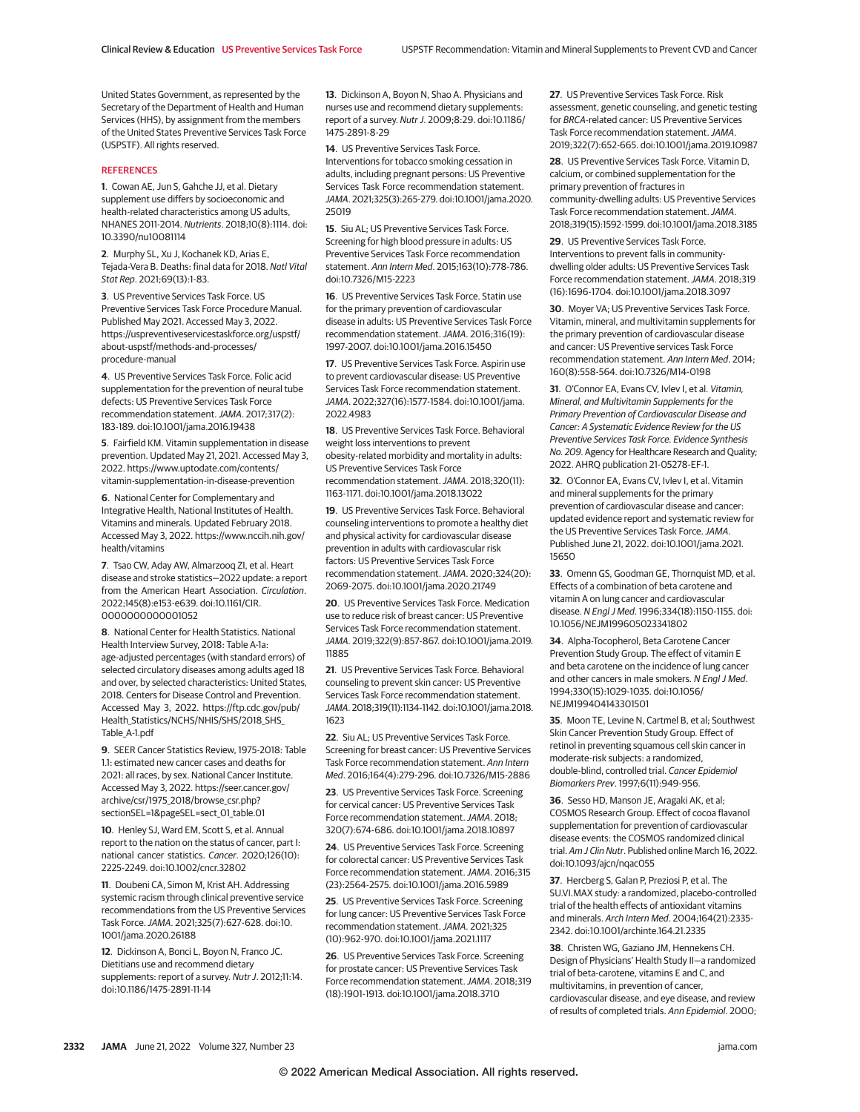United States Government, as represented by the Secretary of the Department of Health and Human Services (HHS), by assignment from the members of the United States Preventive Services Task Force (USPSTF). All rights reserved.

#### **REFERENCES**

**1**. Cowan AE, Jun S, Gahche JJ, et al. Dietary supplement use differs by socioeconomic and health-related characteristics among US adults, NHANES 2011-2014. Nutrients. 2018;10(8):1114. doi: 10.3390/nu10081114

**2**. Murphy SL, Xu J, Kochanek KD, Arias E, Tejada-Vera B. Deaths: final data for 2018. Natl Vital Stat Rep. 2021;69(13):1-83.

**3**. US Preventive Services Task Force. US Preventive Services Task Force Procedure Manual. Published May 2021. Accessed May 3, 2022. https://uspreventiveservicestaskforce.org/uspstf/ about-uspstf/methods-and-processes/ procedure-manual

**4**. US Preventive Services Task Force. Folic acid supplementation for the prevention of neural tube defects: US Preventive Services Task Force recommendation statement.JAMA. 2017;317(2): 183-189. doi:10.1001/jama.2016.19438

**5**. Fairfield KM. Vitamin supplementation in disease prevention. Updated May 21, 2021. Accessed May 3, 2022. https://www.uptodate.com/contents/ vitamin-supplementation-in-disease-prevention

**6**. National Center for Complementary and Integrative Health, National Institutes of Health. Vitamins and minerals. Updated February 2018. Accessed May 3, 2022. https://www.nccih.nih.gov/ health/vitamins

**7**. Tsao CW, Aday AW, Almarzooq ZI, et al. Heart disease and stroke statistics—2022 update: a report from the American Heart Association. Circulation. 2022;145(8):e153-e639. doi:10.1161/CIR. 0000000000001052

**8**. National Center for Health Statistics. National Health Interview Survey, 2018: Table A-1a: age-adjusted percentages (with standard errors) of selected circulatory diseases among adults aged 18 and over, by selected characteristics: United States, 2018. Centers for Disease Control and Prevention. Accessed May 3, 2022. https://ftp.cdc.gov/pub/ Health\_Statistics/NCHS/NHIS/SHS/2018\_SHS\_ Table\_A-1.pdf

**9**. SEER Cancer Statistics Review, 1975-2018: Table 1.1: estimated new cancer cases and deaths for 2021: all races, by sex. National Cancer Institute. Accessed May 3, 2022. https://seer.cancer.gov/ archive/csr/1975\_2018/browse\_csr.php? sectionSEL=1&pageSEL=sect\_01\_table.01

**10**. Henley SJ, Ward EM, Scott S, et al. Annual report to the nation on the status of cancer, part I: national cancer statistics. Cancer. 2020;126(10): 2225-2249. doi:10.1002/cncr.32802

**11**. Doubeni CA, Simon M, Krist AH. Addressing systemic racism through clinical preventive service recommendations from the US Preventive Services Task Force.JAMA. 2021;325(7):627-628. doi:10. 1001/jama.2020.26188

**12**. Dickinson A, Bonci L, Boyon N, Franco JC. Dietitians use and recommend dietary supplements: report of a survey. Nutr J. 2012;11:14. doi:10.1186/1475-2891-11-14

**13**. Dickinson A, Boyon N, Shao A. Physicians and nurses use and recommend dietary supplements: report of a survey. Nutr J. 2009;8:29. doi:10.1186/ 1475-2891-8-29

**14**. US Preventive Services Task Force. Interventions for tobacco smoking cessation in adults, including pregnant persons: US Preventive Services Task Force recommendation statement. JAMA. 2021;325(3):265-279. doi:10.1001/jama.2020. 25019

**15**. Siu AL; US Preventive Services Task Force. Screening for high blood pressure in adults: US Preventive Services Task Force recommendation statement. Ann Intern Med. 2015;163(10):778-786. doi:10.7326/M15-2223

**16**. US Preventive Services Task Force. Statin use for the primary prevention of cardiovascular disease in adults: US Preventive Services Task Force recommendation statement.JAMA. 2016;316(19): 1997-2007. doi:10.1001/jama.2016.15450

**17**. US Preventive Services Task Force. Aspirin use to prevent cardiovascular disease: US Preventive Services Task Force recommendation statement. JAMA. 2022;327(16):1577-1584. doi:10.1001/jama. 2022.4983

**18**. US Preventive Services Task Force. Behavioral weight loss interventions to prevent obesity-related morbidity and mortality in adults: US Preventive Services Task Force recommendation statement.JAMA. 2018;320(11): 1163-1171. doi:10.1001/jama.2018.13022

**19**. US Preventive Services Task Force. Behavioral counseling interventions to promote a healthy diet and physical activity for cardiovascular disease prevention in adults with cardiovascular risk factors: US Preventive Services Task Force recommendation statement.JAMA. 2020;324(20): 2069-2075. doi:10.1001/jama.2020.21749

**20**. US Preventive Services Task Force. Medication use to reduce risk of breast cancer: US Preventive Services Task Force recommendation statement. JAMA. 2019;322(9):857-867. doi:10.1001/jama.2019. 11885

**21**. US Preventive Services Task Force. Behavioral counseling to prevent skin cancer: US Preventive Services Task Force recommendation statement. JAMA. 2018;319(11):1134-1142. doi:10.1001/jama.2018. 1623

**22**. Siu AL; US Preventive Services Task Force. Screening for breast cancer: US Preventive Services Task Force recommendation statement. Ann Intern Med. 2016;164(4):279-296. doi:10.7326/M15-2886

**23**. US Preventive Services Task Force. Screening for cervical cancer: US Preventive Services Task Force recommendation statement.JAMA. 2018; 320(7):674-686. doi:10.1001/jama.2018.10897

**24**. US Preventive Services Task Force. Screening for colorectal cancer: US Preventive Services Task Force recommendation statement.JAMA. 2016;315 (23):2564-2575. doi:10.1001/jama.2016.5989

**25**. US Preventive Services Task Force. Screening for lung cancer: US Preventive Services Task Force recommendation statement.JAMA. 2021;325 (10):962-970. doi:10.1001/jama.2021.1117

**26**. US Preventive Services Task Force. Screening for prostate cancer: US Preventive Services Task Force recommendation statement.JAMA. 2018;319 (18):1901-1913. doi:10.1001/jama.2018.3710

**27**. US Preventive Services Task Force. Risk assessment, genetic counseling, and genetic testing for BRCA-related cancer: US Preventive Services Task Force recommendation statement.JAMA. 2019;322(7):652-665. doi:10.1001/jama.2019.10987

**28**. US Preventive Services Task Force. Vitamin D, calcium, or combined supplementation for the primary prevention of fractures in community-dwelling adults: US Preventive Services Task Force recommendation statement.JAMA. 2018;319(15):1592-1599. doi:10.1001/jama.2018.3185

**29**. US Preventive Services Task Force. Interventions to prevent falls in communitydwelling older adults: US Preventive Services Task Force recommendation statement.JAMA. 2018;319 (16):1696-1704. doi:10.1001/jama.2018.3097

**30**. Moyer VA; US Preventive Services Task Force. Vitamin, mineral, and multivitamin supplements for the primary prevention of cardiovascular disease and cancer: US Preventive services Task Force recommendation statement. Ann Intern Med. 2014; 160(8):558-564. doi:10.7326/M14-0198

**31**. O'Connor EA, Evans CV, Ivlev I, et al. Vitamin, Mineral, and Multivitamin Supplements for the Primary Prevention of Cardiovascular Disease and Cancer: A Systematic Evidence Review for the US Preventive Services Task Force. Evidence Synthesis No. 209. Agency for Healthcare Research and Quality; 2022. AHRQ publication 21-05278-EF-1.

**32**. O'Connor EA, Evans CV, Ivlev I, et al. Vitamin and mineral supplements for the primary prevention of cardiovascular disease and cancer: updated evidence report and systematic review for the US Preventive Services Task Force.JAMA. Published June 21, 2022. doi:10.1001/jama.2021. 15650

**33**. Omenn GS, Goodman GE, Thornquist MD, et al. Effects of a combination of beta carotene and vitamin A on lung cancer and cardiovascular disease. N Engl J Med. 1996;334(18):1150-1155. doi: 10.1056/NEJM199605023341802

**34**. Alpha-Tocopherol, Beta Carotene Cancer Prevention Study Group. The effect of vitamin E and beta carotene on the incidence of lung cancer and other cancers in male smokers. N Engl J Med. 1994;330(15):1029-1035. doi:10.1056/ NEJM199404143301501

**35**. Moon TE, Levine N, Cartmel B, et al; Southwest Skin Cancer Prevention Study Group. Effect of retinol in preventing squamous cell skin cancer in moderate-risk subjects: a randomized, double-blind, controlled trial. Cancer Epidemiol Biomarkers Prev. 1997;6(11):949-956.

**36**. Sesso HD, Manson JE, Aragaki AK, et al; COSMOS Research Group. Effect of cocoa flavanol supplementation for prevention of cardiovascular disease events: the COSMOS randomized clinical trial. Am J Clin Nutr. Published online March 16, 2022. doi:10.1093/ajcn/nqac055

**37**. Hercberg S, Galan P, Preziosi P, et al. The SU.VI.MAX study: a randomized, placebo-controlled trial of the health effects of antioxidant vitamins and minerals. Arch Intern Med. 2004;164(21):2335- 2342. doi:10.1001/archinte.164.21.2335

**38**. Christen WG, Gaziano JM, Hennekens CH. Design of Physicians' Health Study II—a randomized trial of beta-carotene, vitamins E and C, and multivitamins, in prevention of cancer, cardiovascular disease, and eye disease, and review of results of completed trials. Ann Epidemiol. 2000;